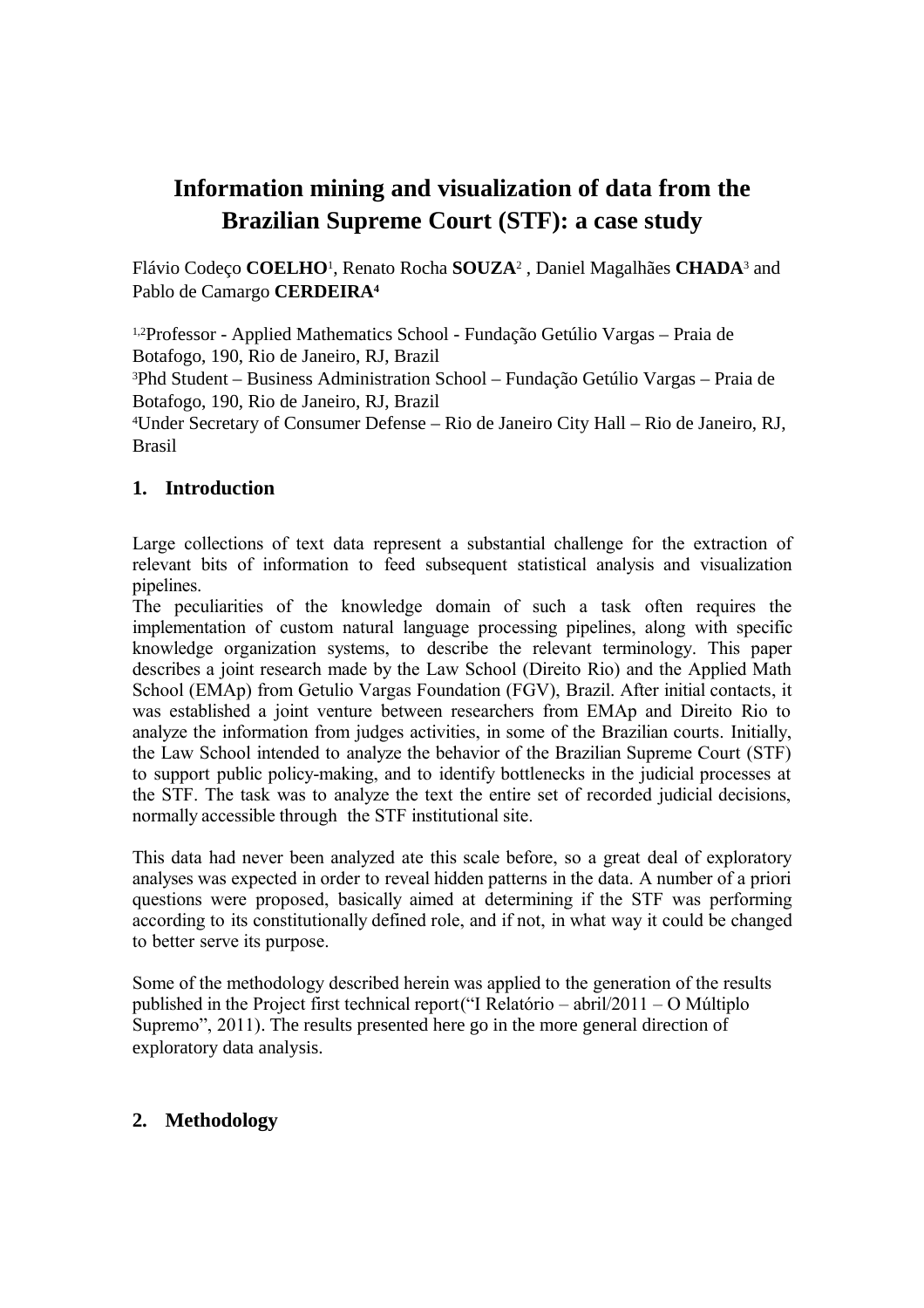# **Information mining and visualization of data from the Brazilian Supreme Court (STF): a case study**

Flávio Codeço **COELHO**<sup>1</sup> , Renato Rocha **SOUZA**<sup>2</sup> , Daniel Magalhães **CHADA**<sup>3</sup> and Pablo de Camargo **CERDEIRA<sup>4</sup>**

1,2Professor - Applied Mathematics School - Fundação Getúlio Vargas – Praia de Botafogo, 190, Rio de Janeiro, RJ, Brazil

<sup>3</sup>Phd Student – Business Administration School – Fundação Getúlio Vargas – Praia de Botafogo, 190, Rio de Janeiro, RJ, Brazil

<sup>4</sup>Under Secretary of Consumer Defense – Rio de Janeiro City Hall – Rio de Janeiro, RJ, Brasil

# **1. Introduction**

Large collections of text data represent a substantial challenge for the extraction of relevant bits of information to feed subsequent statistical analysis and visualization pipelines.

The peculiarities of the knowledge domain of such a task often requires the implementation of custom natural language processing pipelines, along with specific knowledge organization systems, to describe the relevant terminology. This paper describes a joint research made by the Law School (Direito Rio) and the Applied Math School (EMAp) from Getulio Vargas Foundation (FGV), Brazil. After initial contacts, it was established a joint venture between researchers from EMAp and Direito Rio to analyze the information from judges activities, in some of the Brazilian courts. Initially, the Law School intended to analyze the behavior of the Brazilian Supreme Court (STF) to support public policy-making, and to identify bottlenecks in the judicial processes at the STF. The task was to analyze the text the entire set of recorded judicial decisions, normally accessible through the STF institutional site.

This data had never been analyzed ate this scale before, so a great deal of exploratory analyses was expected in order to reveal hidden patterns in the data. A number of a priori questions were proposed, basically aimed at determining if the STF was performing according to its constitutionally defined role, and if not, in what way it could be changed to better serve its purpose.

Some of the methodology described herein was applied to the generation of the results published in the Project first technical report("I Relatório – abril/2011 – O Múltiplo Supremo", 2011). The results presented here go in the more general direction of exploratory data analysis.

# **2. Methodology**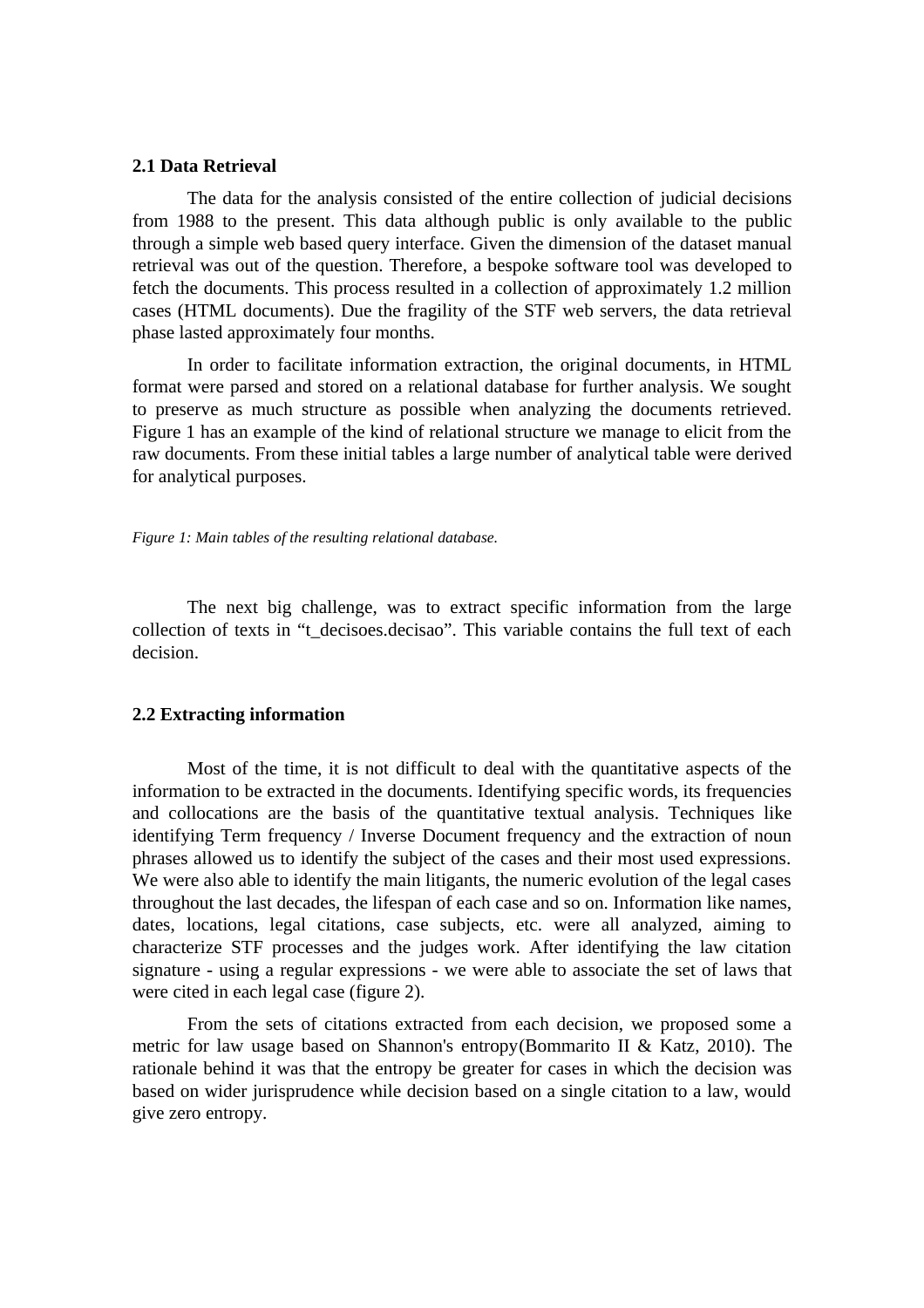#### **2.1 Data Retrieval**

The data for the analysis consisted of the entire collection of judicial decisions from 1988 to the present. This data although public is only available to the public through a simple web based query interface. Given the dimension of the dataset manual retrieval was out of the question. Therefore, a bespoke software tool was developed to fetch the documents. This process resulted in a collection of approximately 1.2 million cases (HTML documents). Due the fragility of the STF web servers, the data retrieval phase lasted approximately four months.

In order to facilitate information extraction, the original documents, in HTML format were parsed and stored on a relational database for further analysis. We sought to preserve as much structure as possible when analyzing the documents retrieved. Figure 1 has an example of the kind of relational structure we manage to elicit from the raw documents. From these initial tables a large number of analytical table were derived for analytical purposes.

*Figure 1: Main tables of the resulting relational database.*

The next big challenge, was to extract specific information from the large collection of texts in "t\_decisoes.decisao". This variable contains the full text of each decision.

#### **2.2 Extracting information**

Most of the time, it is not difficult to deal with the quantitative aspects of the information to be extracted in the documents. Identifying specific words, its frequencies and collocations are the basis of the quantitative textual analysis. Techniques like identifying Term frequency / Inverse Document frequency and the extraction of noun phrases allowed us to identify the subject of the cases and their most used expressions. We were also able to identify the main litigants, the numeric evolution of the legal cases throughout the last decades, the lifespan of each case and so on. Information like names, dates, locations, legal citations, case subjects, etc. were all analyzed, aiming to characterize STF processes and the judges work. After identifying the law citation signature - using a regular expressions - we were able to associate the set of laws that were cited in each legal case (figure 2).

From the sets of citations extracted from each decision, we proposed some a metric for law usage based on Shannon's entropy(Bommarito II & Katz, 2010). The rationale behind it was that the entropy be greater for cases in which the decision was based on wider jurisprudence while decision based on a single citation to a law, would give zero entropy.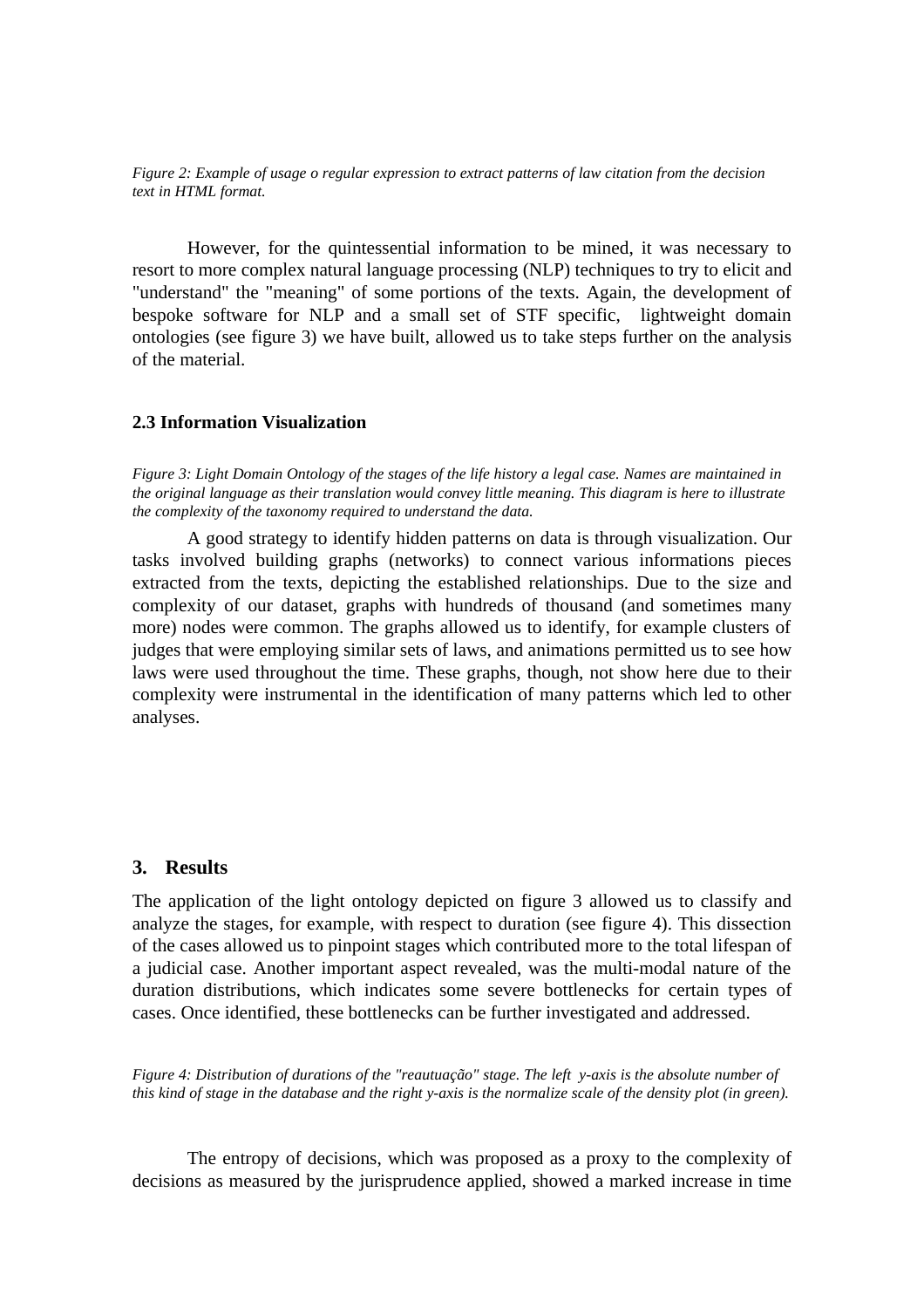*Figure 2: Example of usage o regular expression to extract patterns of law citation from the decision text in HTML format.*

However, for the quintessential information to be mined, it was necessary to resort to more complex natural language processing (NLP) techniques to try to elicit and "understand" the "meaning" of some portions of the texts. Again, the development of bespoke software for NLP and a small set of STF specific, lightweight domain ontologies (see figure 3) we have built, allowed us to take steps further on the analysis of the material.

#### **2.3 Information Visualization**

*Figure 3: Light Domain Ontology of the stages of the life history a legal case. Names are maintained in the original language as their translation would convey little meaning. This diagram is here to illustrate the complexity of the taxonomy required to understand the data.*

A good strategy to identify hidden patterns on data is through visualization. Our tasks involved building graphs (networks) to connect various informations pieces extracted from the texts, depicting the established relationships. Due to the size and complexity of our dataset, graphs with hundreds of thousand (and sometimes many more) nodes were common. The graphs allowed us to identify, for example clusters of judges that were employing similar sets of laws, and animations permitted us to see how laws were used throughout the time. These graphs, though, not show here due to their complexity were instrumental in the identification of many patterns which led to other analyses.

### **3. Results**

The application of the light ontology depicted on figure 3 allowed us to classify and analyze the stages, for example, with respect to duration (see figure 4). This dissection of the cases allowed us to pinpoint stages which contributed more to the total lifespan of a judicial case. Another important aspect revealed, was the multi-modal nature of the duration distributions, which indicates some severe bottlenecks for certain types of cases. Once identified, these bottlenecks can be further investigated and addressed.

*Figure 4: Distribution of durations of the "reautuação" stage. The left y-axis is the absolute number of this kind of stage in the database and the right y-axis is the normalize scale of the density plot (in green).*

The entropy of decisions, which was proposed as a proxy to the complexity of decisions as measured by the jurisprudence applied, showed a marked increase in time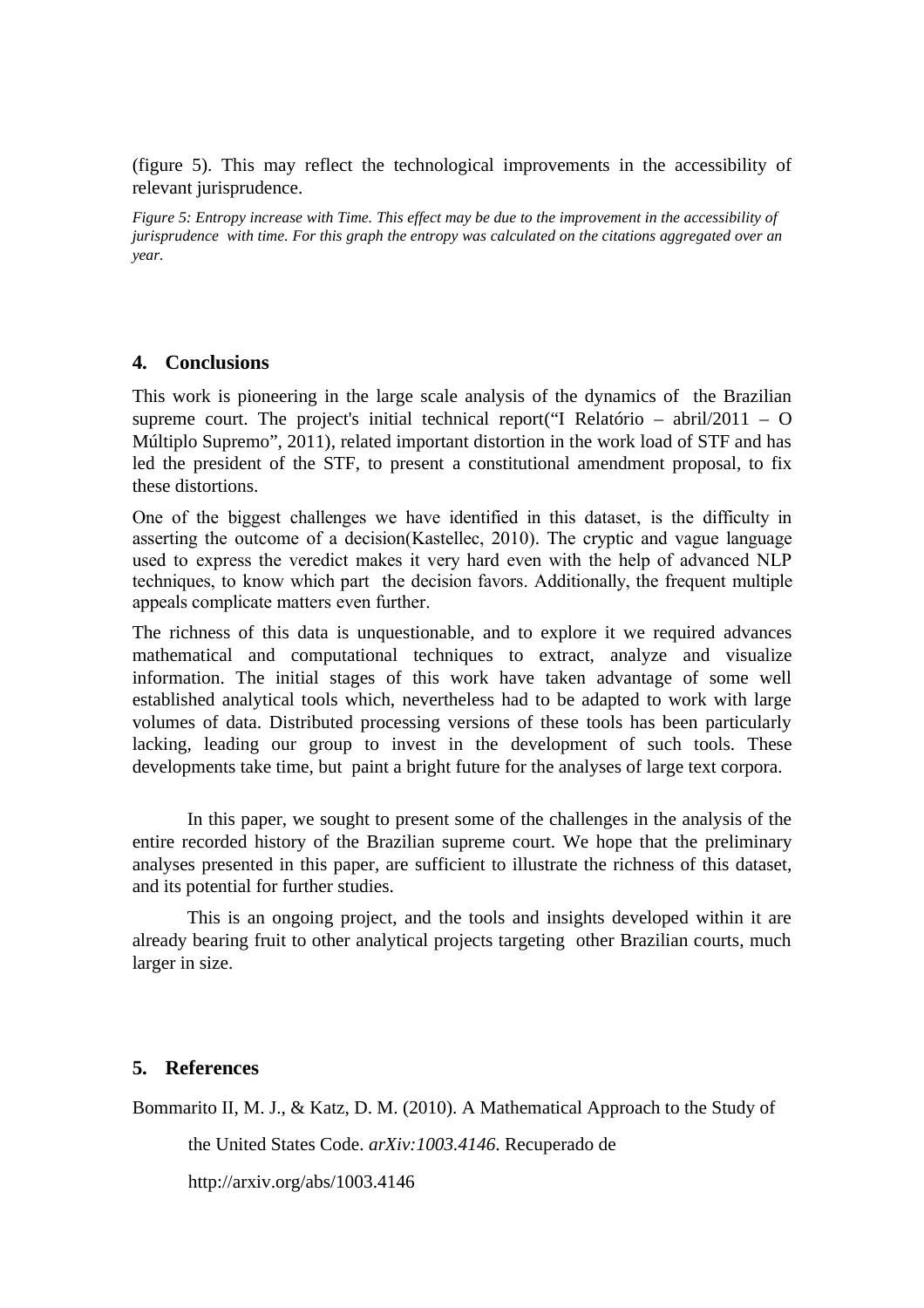(figure 5). This may reflect the technological improvements in the accessibility of relevant jurisprudence.

*Figure 5: Entropy increase with Time. This effect may be due to the improvement in the accessibility of jurisprudence with time. For this graph the entropy was calculated on the citations aggregated over an year.*

### **4. Conclusions**

This work is pioneering in the large scale analysis of the dynamics of the Brazilian supreme court. The project's initial technical report("I Relatório – abril/2011 – O Múltiplo Supremo", 2011), related important distortion in the work load of STF and has led the president of the STF, to present a constitutional amendment proposal, to fix these distortions.

One of the biggest challenges we have identified in this dataset, is the difficulty in asserting the outcome of a decision(Kastellec, 2010). The cryptic and vague language used to express the veredict makes it very hard even with the help of advanced NLP techniques, to know which part the decision favors. Additionally, the frequent multiple appeals complicate matters even further.

The richness of this data is unquestionable, and to explore it we required advances mathematical and computational techniques to extract, analyze and visualize information. The initial stages of this work have taken advantage of some well established analytical tools which, nevertheless had to be adapted to work with large volumes of data. Distributed processing versions of these tools has been particularly lacking, leading our group to invest in the development of such tools. These developments take time, but paint a bright future for the analyses of large text corpora.

In this paper, we sought to present some of the challenges in the analysis of the entire recorded history of the Brazilian supreme court. We hope that the preliminary analyses presented in this paper, are sufficient to illustrate the richness of this dataset, and its potential for further studies.

This is an ongoing project, and the tools and insights developed within it are already bearing fruit to other analytical projects targeting other Brazilian courts, much larger in size.

## **5. References**

Bommarito II, M. J., & Katz, D. M. (2010). A Mathematical Approach to the Study of

the United States Code. *arXiv:1003.4146*. Recuperado de

http://arxiv.org/abs/1003.4146